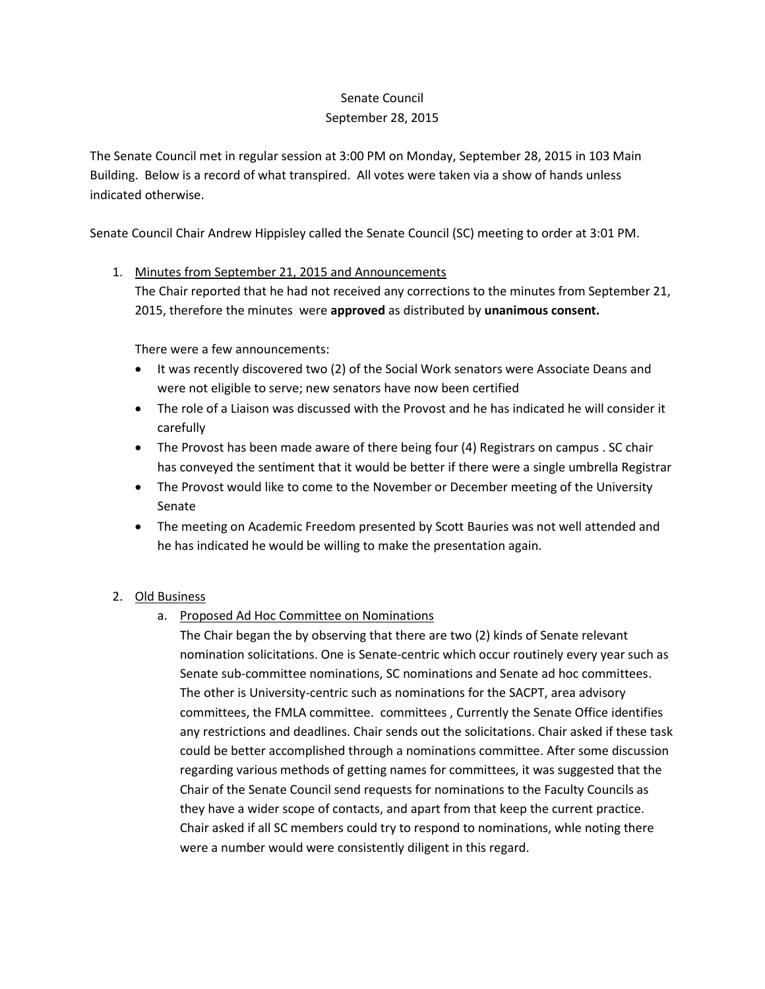## Senate Council September 28, 2015

The Senate Council met in regular session at 3:00 PM on Monday, September 28, 2015 in 103 Main Building. Below is a record of what transpired. All votes were taken via a show of hands unless indicated otherwise.

Senate Council Chair Andrew Hippisley called the Senate Council (SC) meeting to order at 3:01 PM.

## 1. Minutes from September 21, 2015 and Announcements

The Chair reported that he had not received any corrections to the minutes from September 21, 2015, therefore the minutes were **approved** as distributed by **unanimous consent.**

There were a few announcements:

- It was recently discovered two (2) of the Social Work senators were Associate Deans and were not eligible to serve; new senators have now been certified
- The role of a Liaison was discussed with the Provost and he has indicated he will consider it carefully
- The Provost has been made aware of there being four (4) Registrars on campus . SC chair has conveyed the sentiment that it would be better if there were a single umbrella Registrar
- The Provost would like to come to the November or December meeting of the University Senate
- The meeting on Academic Freedom presented by Scott Bauries was not well attended and he has indicated he would be willing to make the presentation again.

## 2. Old Business

a. Proposed Ad Hoc Committee on Nominations

The Chair began the by observing that there are two (2) kinds of Senate relevant nomination solicitations. One is Senate-centric which occur routinely every year such as Senate sub-committee nominations, SC nominations and Senate ad hoc committees. The other is University-centric such as nominations for the SACPT, area advisory committees, the FMLA committee. committees , Currently the Senate Office identifies any restrictions and deadlines. Chair sends out the solicitations. Chair asked if these task could be better accomplished through a nominations committee. After some discussion regarding various methods of getting names for committees, it was suggested that the Chair of the Senate Council send requests for nominations to the Faculty Councils as they have a wider scope of contacts, and apart from that keep the current practice. Chair asked if all SC members could try to respond to nominations, whle noting there were a number would were consistently diligent in this regard.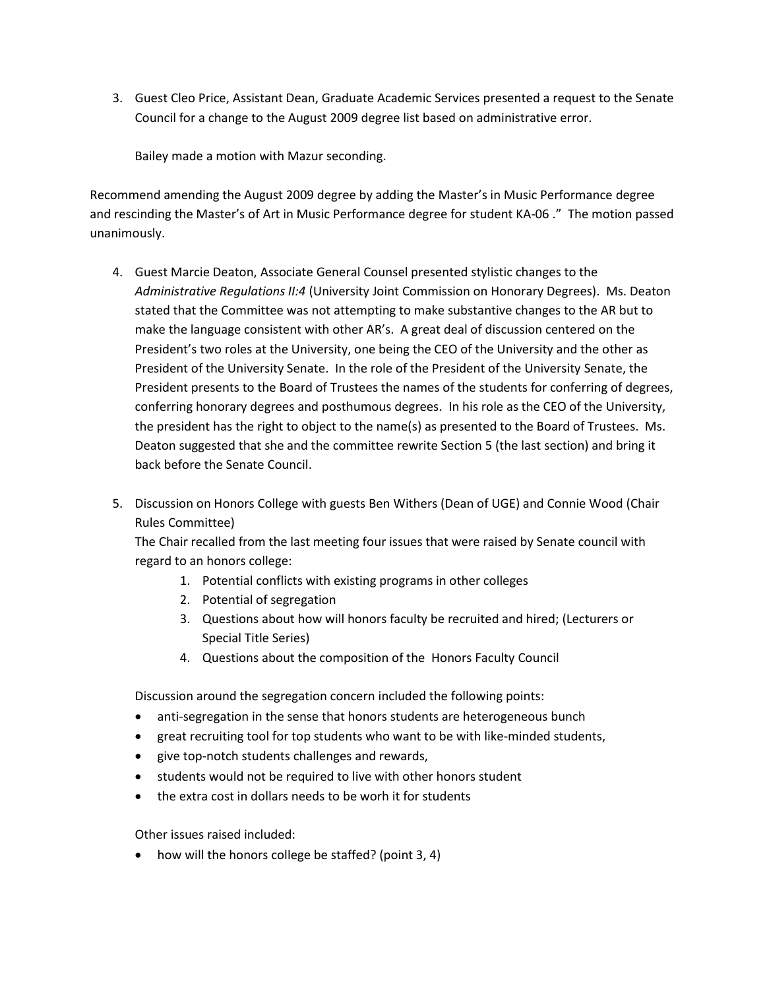3. Guest Cleo Price, Assistant Dean, Graduate Academic Services presented a request to the Senate Council for a change to the August 2009 degree list based on administrative error.

Bailey made a motion with Mazur seconding.

Recommend amending the August 2009 degree by adding the Master's in Music Performance degree and rescinding the Master's of Art in Music Performance degree for student KA-06 ." The motion passed unanimously.

- 4. Guest Marcie Deaton, Associate General Counsel presented stylistic changes to the *Administrative Regulations II:4* (University Joint Commission on Honorary Degrees). Ms. Deaton stated that the Committee was not attempting to make substantive changes to the AR but to make the language consistent with other AR's. A great deal of discussion centered on the President's two roles at the University, one being the CEO of the University and the other as President of the University Senate. In the role of the President of the University Senate, the President presents to the Board of Trustees the names of the students for conferring of degrees, conferring honorary degrees and posthumous degrees. In his role as the CEO of the University, the president has the right to object to the name(s) as presented to the Board of Trustees. Ms. Deaton suggested that she and the committee rewrite Section 5 (the last section) and bring it back before the Senate Council.
- 5. Discussion on Honors College with guests Ben Withers (Dean of UGE) and Connie Wood (Chair Rules Committee)

The Chair recalled from the last meeting four issues that were raised by Senate council with regard to an honors college:

- 1. Potential conflicts with existing programs in other colleges
- 2. Potential of segregation
- 3. Questions about how will honors faculty be recruited and hired; (Lecturers or Special Title Series)
- 4. Questions about the composition of the Honors Faculty Council

Discussion around the segregation concern included the following points:

- anti-segregation in the sense that honors students are heterogeneous bunch
- great recruiting tool for top students who want to be with like-minded students,
- give top-notch students challenges and rewards,
- students would not be required to live with other honors student
- the extra cost in dollars needs to be worh it for students

Other issues raised included:

• how will the honors college be staffed? (point 3, 4)